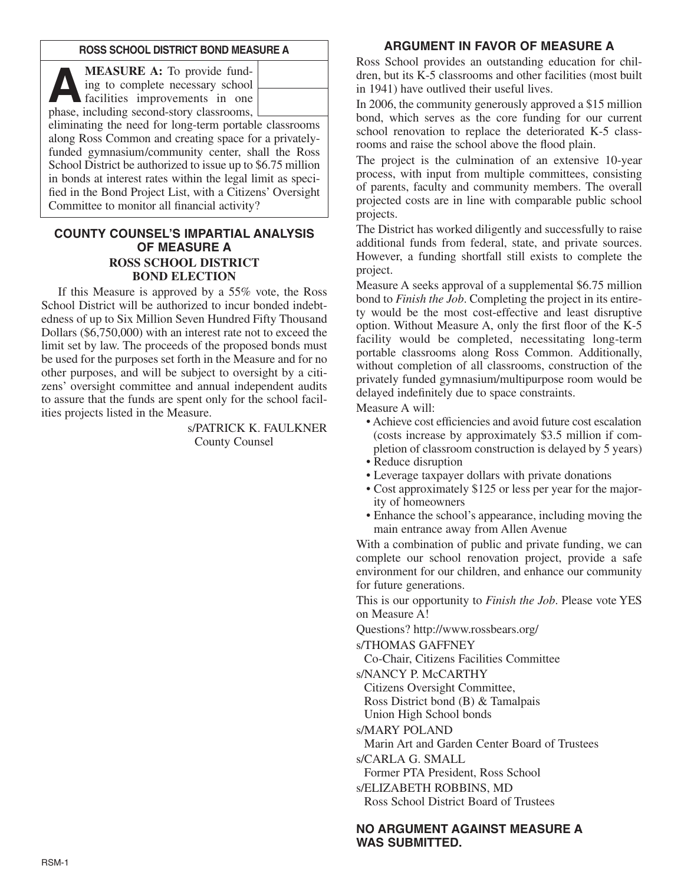#### **ROSS SCHOOL DISTRICT BOND MEASURE A**

**A MEASURE A:** To provide fund-<br>
ing to complete necessary school<br>
facilities improvements in one<br>
phase including second-story classrooms ing to complete necessary school phase, including second-story classrooms,

eliminating the need for long-term portable classrooms along Ross Common and creating space for a privatelyfunded gymnasium/community center, shall the Ross School District be authorized to issue up to \$6.75 million in bonds at interest rates within the legal limit as specified in the Bond Project List, with a Citizens' Oversight Committee to monitor all financial activity?

## **COUNTY COUNSEL'S IMPARTIAL ANALYSIS OF MEASURE A ROSS SCHOOL DISTRICT BOND ELECTION**

If this Measure is approved by a 55% vote, the Ross School District will be authorized to incur bonded indebtedness of up to Six Million Seven Hundred Fifty Thousand Dollars (\$6,750,000) with an interest rate not to exceed the limit set by law. The proceeds of the proposed bonds must be used for the purposes set forth in the Measure and for no other purposes, and will be subject to oversight by a citizens' oversight committee and annual independent audits to assure that the funds are spent only for the school facilities projects listed in the Measure.

> s/PATRICK K. FAULKNER County Counsel

## **ARGUMENT IN FAVOR OF MEASURE A**

Ross School provides an outstanding education for children, but its K-5 classrooms and other facilities (most built in 1941) have outlived their useful lives.

In 2006, the community generously approved a \$15 million bond, which serves as the core funding for our current school renovation to replace the deteriorated K-5 classrooms and raise the school above the flood plain.

The project is the culmination of an extensive 10-year process, with input from multiple committees, consisting of parents, faculty and community members. The overall projected costs are in line with comparable public school projects.

The District has worked diligently and successfully to raise additional funds from federal, state, and private sources. However, a funding shortfall still exists to complete the project.

Measure A seeks approval of a supplemental \$6.75 million bond to *Finish the Job*. Completing the project in its entirety would be the most cost-effective and least disruptive option. Without Measure A, only the first floor of the K-5 facility would be completed, necessitating long-term portable classrooms along Ross Common. Additionally, without completion of all classrooms, construction of the privately funded gymnasium/multipurpose room would be delayed indefinitely due to space constraints.

Measure A will:

- Achieve cost efficiencies and avoid future cost escalation (costs increase by approximately \$3.5 million if completion of classroom construction is delayed by 5 years)
- Reduce disruption
- Leverage taxpayer dollars with private donations
- Cost approximately \$125 or less per year for the majority of homeowners
- Enhance the school's appearance, including moving the main entrance away from Allen Avenue

With a combination of public and private funding, we can complete our school renovation project, provide a safe environment for our children, and enhance our community for future generations.

This is our opportunity to *Finish the Job*. Please vote YES on Measure A!

Questions? http://www.rossbears.org/

s/THOMAS GAFFNEY

Co-Chair, Citizens Facilities Committee

s/NANCY P. McCARTHY

Citizens Oversight Committee,

Ross District bond (B) & Tamalpais

Union High School bonds

s/MARY POLAND

Marin Art and Garden Center Board of Trustees

s/CARLA G. SMALL

Former PTA President, Ross School

s/ELIZABETH ROBBINS, MD

Ross School District Board of Trustees

## **NO ARGUMENT AGAINST MEASURE A WAS SUBMITTED.**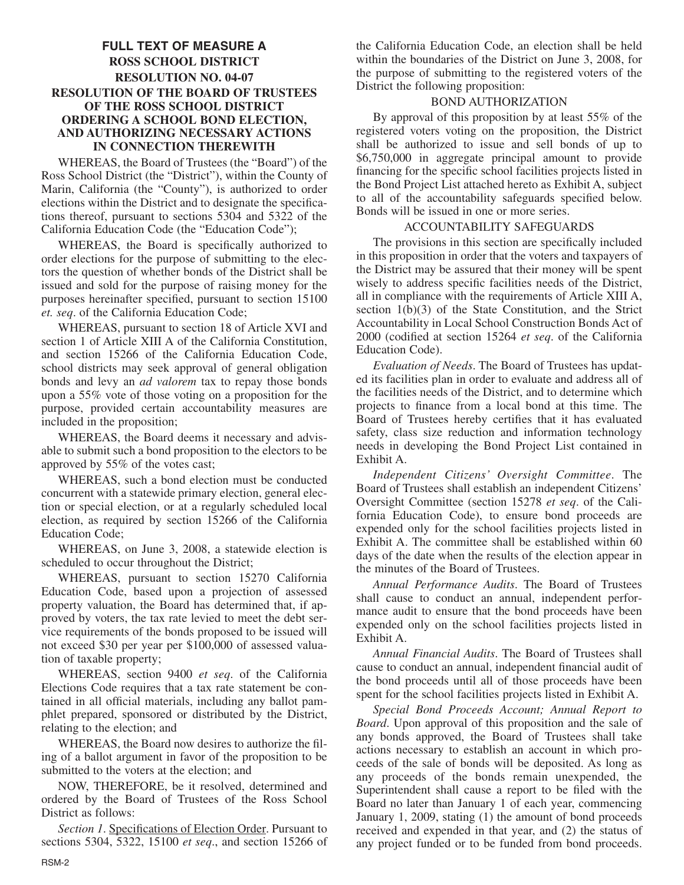# **FULL TEXT OF MEASURE A ROSS SCHOOL DISTRICT RESOLUTION NO. 04-07 RESOLUTION OF THE BOARD OF TRUSTEES OF THE ROSS SCHOOL DISTRICT ORDERING A SCHOOL BOND ELECTION, AND AUTHORIZING NECESSARY ACTIONS IN CONNECTION THEREWITH**

WHEREAS, the Board of Trustees (the "Board") of the Ross School District (the "District"), within the County of Marin, California (the "County"), is authorized to order elections within the District and to designate the specifications thereof, pursuant to sections 5304 and 5322 of the California Education Code (the "Education Code");

WHEREAS, the Board is specifically authorized to order elections for the purpose of submitting to the electors the question of whether bonds of the District shall be issued and sold for the purpose of raising money for the purposes hereinafter specified, pursuant to section 15100 *et. seq*. of the California Education Code;

WHEREAS, pursuant to section 18 of Article XVI and section 1 of Article XIII A of the California Constitution, and section 15266 of the California Education Code, school districts may seek approval of general obligation bonds and levy an *ad valorem* tax to repay those bonds upon a 55% vote of those voting on a proposition for the purpose, provided certain accountability measures are included in the proposition;

WHEREAS, the Board deems it necessary and advisable to submit such a bond proposition to the electors to be approved by 55% of the votes cast;

WHEREAS, such a bond election must be conducted concurrent with a statewide primary election, general election or special election, or at a regularly scheduled local election, as required by section 15266 of the California Education Code;

WHEREAS, on June 3, 2008, a statewide election is scheduled to occur throughout the District;

WHEREAS, pursuant to section 15270 California Education Code, based upon a projection of assessed property valuation, the Board has determined that, if approved by voters, the tax rate levied to meet the debt service requirements of the bonds proposed to be issued will not exceed \$30 per year per \$100,000 of assessed valuation of taxable property;

WHEREAS, section 9400 *et seq*. of the California Elections Code requires that a tax rate statement be contained in all official materials, including any ballot pamphlet prepared, sponsored or distributed by the District, relating to the election; and

WHEREAS, the Board now desires to authorize the filing of a ballot argument in favor of the proposition to be submitted to the voters at the election; and

NOW, THEREFORE, be it resolved, determined and ordered by the Board of Trustees of the Ross School District as follows:

*Section 1*. Specifications of Election Order. Pursuant to sections 5304, 5322, 15100 *et seq*., and section 15266 of the California Education Code, an election shall be held within the boundaries of the District on June 3, 2008, for the purpose of submitting to the registered voters of the District the following proposition:

## BOND AUTHORIZATION

By approval of this proposition by at least 55% of the registered voters voting on the proposition, the District shall be authorized to issue and sell bonds of up to \$6,750,000 in aggregate principal amount to provide financing for the specific school facilities projects listed in the Bond Project List attached hereto as Exhibit A, subject to all of the accountability safeguards specified below. Bonds will be issued in one or more series.

#### ACCOUNTABILITY SAFEGUARDS

The provisions in this section are specifically included in this proposition in order that the voters and taxpayers of the District may be assured that their money will be spent wisely to address specific facilities needs of the District, all in compliance with the requirements of Article XIII A, section 1(b)(3) of the State Constitution, and the Strict Accountability in Local School Construction Bonds Act of 2000 (codified at section 15264 *et seq*. of the California Education Code).

*Evaluation of Needs*. The Board of Trustees has updated its facilities plan in order to evaluate and address all of the facilities needs of the District, and to determine which projects to finance from a local bond at this time. The Board of Trustees hereby certifies that it has evaluated safety, class size reduction and information technology needs in developing the Bond Project List contained in Exhibit A.

*Independent Citizens' Oversight Committee*. The Board of Trustees shall establish an independent Citizens' Oversight Committee (section 15278 *et seq*. of the California Education Code), to ensure bond proceeds are expended only for the school facilities projects listed in Exhibit A. The committee shall be established within 60 days of the date when the results of the election appear in the minutes of the Board of Trustees.

*Annual Performance Audits*. The Board of Trustees shall cause to conduct an annual, independent performance audit to ensure that the bond proceeds have been expended only on the school facilities projects listed in Exhibit A.

*Annual Financial Audits*. The Board of Trustees shall cause to conduct an annual, independent financial audit of the bond proceeds until all of those proceeds have been spent for the school facilities projects listed in Exhibit A.

*Special Bond Proceeds Account; Annual Report to Board*. Upon approval of this proposition and the sale of any bonds approved, the Board of Trustees shall take actions necessary to establish an account in which proceeds of the sale of bonds will be deposited. As long as any proceeds of the bonds remain unexpended, the Superintendent shall cause a report to be filed with the Board no later than January 1 of each year, commencing January 1, 2009, stating (1) the amount of bond proceeds received and expended in that year, and (2) the status of any project funded or to be funded from bond proceeds.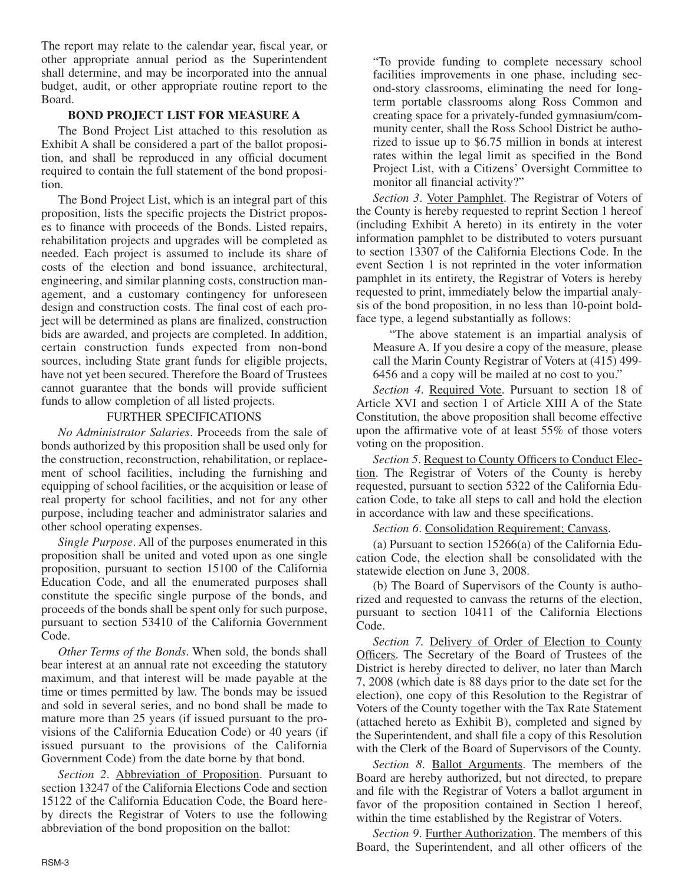The report may relate to the calendar year, fiscal year, or other appropriate annual period as the Superintendent shall determine, and may be incorporated into the annual budget, audit, or other appropriate routine report to the Board.

## **BOND PROJECT LIST FOR MEASURE A**

The Bond Project List attached to this resolution as Exhibit A shall be considered a part of the ballot proposition, and shall be reproduced in any official document required to contain the full statement of the bond proposition.

The Bond Project List, which is an integral part of this proposition, lists the specific projects the District proposes to finance with proceeds of the Bonds. Listed repairs, rehabilitation projects and upgrades will be completed as needed. Each project is assumed to include its share of costs of the election and bond issuance, architectural, engineering, and similar planning costs, construction management, and a customary contingency for unforeseen design and construction costs. The final cost of each project will be determined as plans are finalized, construction bids are awarded, and projects are completed. In addition, certain construction funds expected from non-bond sources, including State grant funds for eligible projects, have not yet been secured. Therefore the Board of Trustees cannot guarantee that the bonds will provide sufficient funds to allow completion of all listed projects.

#### FURTHER SPECIFICATIONS

*No Administrator Salaries*. Proceeds from the sale of bonds authorized by this proposition shall be used only for the construction, reconstruction, rehabilitation, or replacement of school facilities, including the furnishing and equipping of school facilities, or the acquisition or lease of real property for school facilities, and not for any other purpose, including teacher and administrator salaries and other school operating expenses.

*Single Purpose*. All of the purposes enumerated in this proposition shall be united and voted upon as one single proposition, pursuant to section 15100 of the California Education Code, and all the enumerated purposes shall constitute the specific single purpose of the bonds, and proceeds of the bonds shall be spent only for such purpose, pursuant to section 53410 of the California Government Code.

*Other Terms of the Bonds*. When sold, the bonds shall bear interest at an annual rate not exceeding the statutory maximum, and that interest will be made payable at the time or times permitted by law. The bonds may be issued and sold in several series, and no bond shall be made to mature more than 25 years (if issued pursuant to the provisions of the California Education Code) or 40 years (if issued pursuant to the provisions of the California Government Code) from the date borne by that bond.

*Section 2*. Abbreviation of Proposition. Pursuant to section 13247 of the California Elections Code and section 15122 of the California Education Code, the Board hereby directs the Registrar of Voters to use the following abbreviation of the bond proposition on the ballot:

"To provide funding to complete necessary school facilities improvements in one phase, including second-story classrooms, eliminating the need for longterm portable classrooms along Ross Common and creating space for a privately-funded gymnasium/community center, shall the Ross School District be authorized to issue up to \$6.75 million in bonds at interest rates within the legal limit as specified in the Bond Project List, with a Citizens' Oversight Committee to monitor all financial activity?"

*Section 3*. Voter Pamphlet. The Registrar of Voters of the County is hereby requested to reprint Section 1 hereof (including Exhibit A hereto) in its entirety in the voter information pamphlet to be distributed to voters pursuant to section 13307 of the California Elections Code. In the event Section 1 is not reprinted in the voter information pamphlet in its entirety, the Registrar of Voters is hereby requested to print, immediately below the impartial analysis of the bond proposition, in no less than 10-point boldface type, a legend substantially as follows:

"The above statement is an impartial analysis of Measure A. If you desire a copy of the measure, please call the Marin County Registrar of Voters at (415) 499- 6456 and a copy will be mailed at no cost to you."

*Section 4*. Required Vote. Pursuant to section 18 of Article XVI and section 1 of Article XIII A of the State Constitution, the above proposition shall become effective upon the affirmative vote of at least 55% of those voters voting on the proposition.

*Section 5*. Request to County Officers to Conduct Election. The Registrar of Voters of the County is hereby requested, pursuant to section 5322 of the California Education Code, to take all steps to call and hold the election in accordance with law and these specifications.

*Section 6*. Consolidation Requirement; Canvass.

(a) Pursuant to section 15266(a) of the California Education Code, the election shall be consolidated with the statewide election on June 3, 2008.

(b) The Board of Supervisors of the County is authorized and requested to canvass the returns of the election, pursuant to section 10411 of the California Elections Code.

*Section 7.* Delivery of Order of Election to County Officers. The Secretary of the Board of Trustees of the District is hereby directed to deliver, no later than March 7, 2008 (which date is 88 days prior to the date set for the election), one copy of this Resolution to the Registrar of Voters of the County together with the Tax Rate Statement (attached hereto as Exhibit B), completed and signed by the Superintendent, and shall file a copy of this Resolution with the Clerk of the Board of Supervisors of the County.

*Section 8*. Ballot Arguments. The members of the Board are hereby authorized, but not directed, to prepare and file with the Registrar of Voters a ballot argument in favor of the proposition contained in Section 1 hereof, within the time established by the Registrar of Voters.

*Section 9*. Further Authorization. The members of this Board, the Superintendent, and all other officers of the